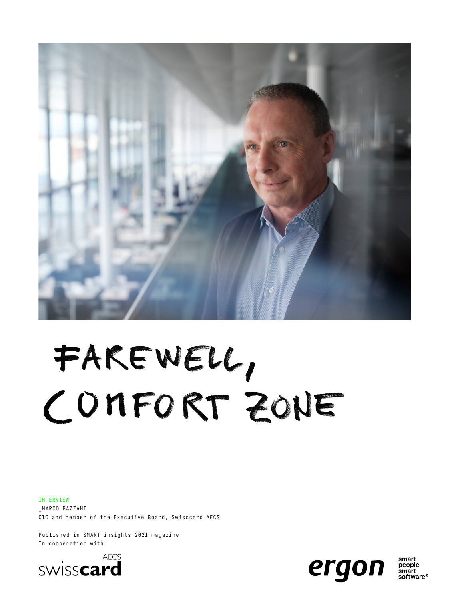

# FAKEWELL, COMFORT ZONE

#### INTERVIEW

\_MARCO BAZZANI CIO and Member of the Executive Board, Swisscard AECS

Published in SMART insights 2021 magazine In cooperation with





smart people smart sniure®<br>software®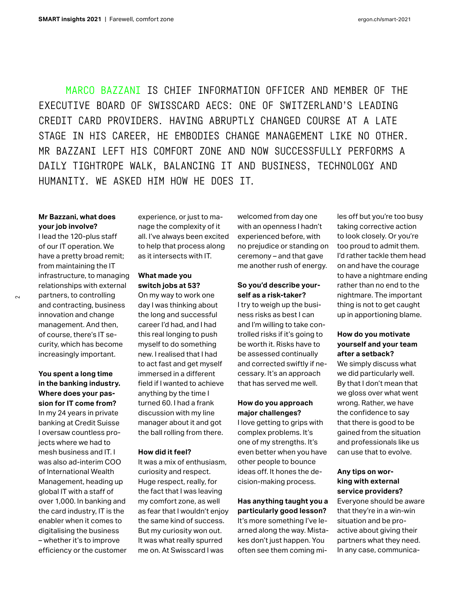MARCO BAZZANI IS CHIEF INFORMATION OFFICER AND MEMBER OF THE EXECUTIVE BOARD OF SWISSCARD AECS: ONE OF SWITZERLAND'S LEADING CREDIT CARD PROVIDERS. HAVING ABRUPTLY CHANGED COURSE AT A LATE STAGE IN HIS CAREER, HE EMBODIES CHANGE MANAGEMENT LIKE NO OTHER. MR BAZZANI LEFT HIS COMFORT ZONE AND NOW SUCCESSFULLY PERFORMS A DAILY TIGHTROPE WALK, BALANCING IT AND BUSINESS, TECHNOLOGY AND HUMANITY. WE ASKED HIM HOW HE DOES IT.

#### **Mr Bazzani, what does your job involve?**

I lead the 120-plus staff of our IT operation. We have a pretty broad remit; from maintaining the IT infrastructure, to managing relationships with external partners, to controlling and contracting, business innovation and change management. And then, of course, there's IT security, which has become increasingly important.

### **You spent a long time in the banking industry. Where does your passion for IT come from?**

In my 24 years in private banking at Credit Suisse I oversaw countless projects where we had to mesh business and IT. I was also ad-interim COO of International Wealth Management, heading up global IT with a staff of over 1,000. In banking and the card industry, IT is the enabler when it comes to digitalising the business – whether it's to improve efficiency or the customer experience, or just to manage the complexity of it all. I've always been excited to help that process along as it intersects with IT.

#### **What made you switch jobs at 53?**

On my way to work one day I was thinking about the long and successful career I'd had, and I had this real longing to push myself to do something new. I realised that I had to act fast and get myself immersed in a different field if I wanted to achieve anything by the time I turned 60. I had a frank discussion with my line manager about it and got the ball rolling from there.

#### **How did it feel?**

It was a mix of enthusiasm, curiosity and respect. Huge respect, really, for the fact that I was leaving my comfort zone, as well as fear that I wouldn't enjoy the same kind of success. But my curiosity won out. It was what really spurred me on. At Swisscard I was

welcomed from day one with an openness I hadn't experienced before, with no prejudice or standing on ceremony – and that gave me another rush of energy.

#### **So you'd describe yourself as a risk-taker?**

I try to weigh up the business risks as best I can and I'm willing to take controlled risks if it's going to be worth it. Risks have to be assessed continually and corrected swiftly if necessary. It's an approach that has served me well.

#### **How do you approach major challenges?**

I love getting to grips with complex problems. It's one of my strengths. It's even better when you have other people to bounce ideas off. It hones the decision-making process.

#### **Has anything taught you a particularly good lesson?** It's more something I've learned along the way. Mistakes don't just happen. You often see them coming mi-

les off but you're too busy taking corrective action to look closely. Or you're too proud to admit them. I'd rather tackle them head on and have the courage to have a nightmare ending rather than no end to the nightmare. The important thing is not to get caught up in apportioning blame.

#### **How do you motivate yourself and your team after a setback?**

We simply discuss what we did particularly well. By that I don't mean that we gloss over what went wrong. Rather, we have the confidence to say that there is good to be gained from the situation and professionals like us can use that to evolve.

#### **Any tips on working with external service providers?**

Everyone should be aware that they're in a win-win situation and be proactive about giving their partners what they need. In any case, communica